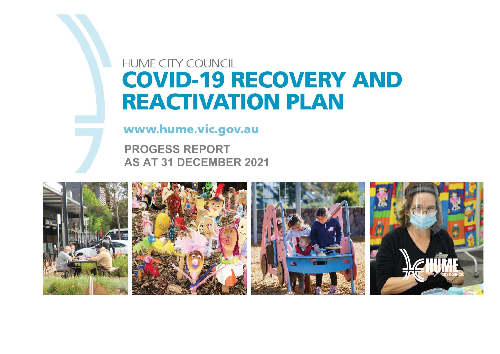## **HUME CITY COUNCIL COVID-19 RECOVERY AND REACTIVATION PLAN**

www.hume.vic.gov.au

**PROGESS REPORT AS AT 31 DECEMBER 2021**

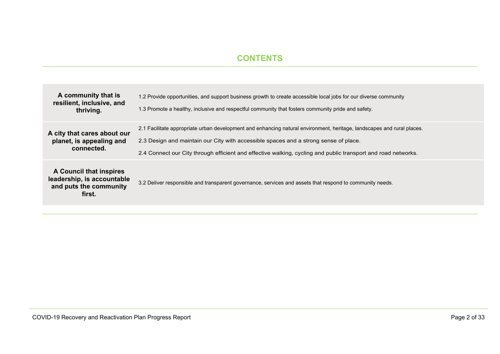#### **CONTENTS**

| A community that is<br>resilient, inclusive, and<br>thriving.                             | 1.2 Provide opportunities, and support business growth to create accessible local jobs for our diverse community<br>1.3 Promote a healthy, inclusive and respectful community that fosters community pride and safety.                                                                                                          |
|-------------------------------------------------------------------------------------------|---------------------------------------------------------------------------------------------------------------------------------------------------------------------------------------------------------------------------------------------------------------------------------------------------------------------------------|
| A city that cares about our<br>planet, is appealing and<br>connected.                     | 2.1 Facilitate appropriate urban development and enhancing natural environment, heritage, landscapes and rural places.<br>2.3 Design and maintain our City with accessible spaces and a strong sense of place.<br>2.4 Connect our City through efficient and effective walking, cycling and public transport and road networks. |
| A Council that inspires<br>leadership, is accountable<br>and puts the community<br>first. | 3.2 Deliver responsible and transparent governance, services and assets that respond to community needs.                                                                                                                                                                                                                        |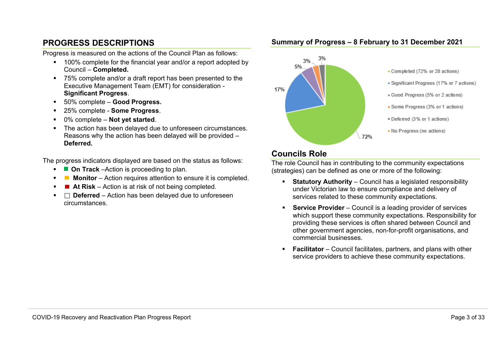### **PROGRESS DESCRIPTIONS**

Progress is measured on the actions of the Council Plan as follows:

- <sup>1</sup> 100% complete for the financial year and/or a report adopted by Council – **Completed.**
- 75% complete and/or a draft report has been presented to the Executive Management Team (EMT) for consideration - **Significant Progress**.
- 50% complete **Good Progress.**
- 25% complete **Some Progress**.
- 0% complete **Not yet started**.
- The action has been delayed due to unforeseen circumstances. Reasons why the action has been delayed will be provided – **Deferred.**

The progress indicators displayed are based on the status as follows:

- **Cn Track** –Action is proceeding to plan.
- **Monitor** Action requires attention to ensure it is completed.
- At Risk Action is at risk of not being completed.
- $\Box$  **Deferred** Action has been delayed due to unforeseen circumstances.



#### **Summary of Progress – 8 February to 31 December 2021**

#### **Councils Role**

The role Council has in contributing to the community expectations (strategies) can be defined as one or more of the following:

- **Statutory Authority** Council has a legislated responsibility under Victorian law to ensure compliance and delivery of services related to these community expectations.
- **Service Provider** Council is a leading provider of services which support these community expectations. Responsibility for providing these services is often shared between Council and other government agencies, non-for-profit organisations, and commercial businesses.
- **Facilitator** Council facilitates, partners, and plans with other service providers to achieve these community expectations.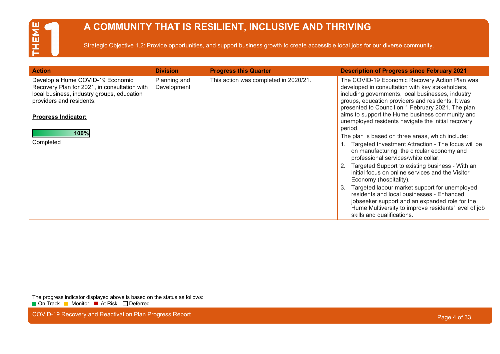## **A COMMUNITY THAT IS RESILIENT, INCLUSIVE AND THRIVING**

Strategic Objective 1.2: Provide opportunities, and support business growth to create accessible local jobs for our diverse community.

| <b>Action</b>                                                                                                                                              | <b>Division</b>             | <b>Progress this Quarter</b>          | <b>Description of Progress since February 2021</b>                                                                                                                                                                                                                |
|------------------------------------------------------------------------------------------------------------------------------------------------------------|-----------------------------|---------------------------------------|-------------------------------------------------------------------------------------------------------------------------------------------------------------------------------------------------------------------------------------------------------------------|
| Develop a Hume COVID-19 Economic<br>Recovery Plan for 2021, in consultation with<br>local business, industry groups, education<br>providers and residents. | Planning and<br>Development | This action was completed in 2020/21. | The COVID-19 Economic Recovery Action Plan was<br>developed in consultation with key stakeholders,<br>including governments, local businesses, industry<br>groups, education providers and residents. It was<br>presented to Council on 1 February 2021. The plan |
| <b>Progress Indicator:</b>                                                                                                                                 |                             |                                       | aims to support the Hume business community and<br>unemployed residents navigate the initial recovery<br>period.                                                                                                                                                  |
| 100%                                                                                                                                                       |                             |                                       | The plan is based on three areas, which include:                                                                                                                                                                                                                  |
| Completed                                                                                                                                                  |                             |                                       | Targeted Investment Attraction - The focus will be<br>on manufacturing, the circular economy and<br>professional services/white collar.                                                                                                                           |
|                                                                                                                                                            |                             |                                       | Targeted Support to existing business - With an<br>initial focus on online services and the Visitor<br>Economy (hospitality).                                                                                                                                     |
|                                                                                                                                                            |                             |                                       | Targeted labour market support for unemployed<br>3.<br>residents and local businesses - Enhanced<br>jobseeker support and an expanded role for the<br>Hume Multiversity to improve residents' level of job<br>skills and qualifications.                          |

The progress indicator displayed above is based on the status as follows: ■ On Track ■ Monitor ■ At Risk □ Deferred

COVID-19 Recovery and Reactivation Plan Progress Report **Page 4 of 33** and 200 km and 200 km and 200 km and 200 km and 200 km and 200 km and 200 km and 200 km and 200 km and 200 km and 200 km and 200 km and 200 km and 200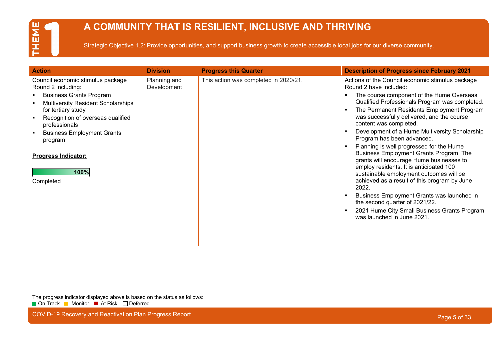

## **A COMMUNITY THAT IS RESILIENT, INCLUSIVE AND THRIVING**

Strategic Objective 1.2: Provide opportunities, and support business growth to create accessible local jobs for our diverse community.

| <b>Action</b>                                                                                                                                                                                                                                                                                                          | <b>Division</b>             | <b>Progress this Quarter</b>          | <b>Description of Progress since February 2021</b>                                                                                                                                                                                                                                                                                                                                                                                                                                                                                                                                                                                                                                                                                                                                                                              |
|------------------------------------------------------------------------------------------------------------------------------------------------------------------------------------------------------------------------------------------------------------------------------------------------------------------------|-----------------------------|---------------------------------------|---------------------------------------------------------------------------------------------------------------------------------------------------------------------------------------------------------------------------------------------------------------------------------------------------------------------------------------------------------------------------------------------------------------------------------------------------------------------------------------------------------------------------------------------------------------------------------------------------------------------------------------------------------------------------------------------------------------------------------------------------------------------------------------------------------------------------------|
| Council economic stimulus package<br>Round 2 including:<br><b>Business Grants Program</b><br><b>Multiversity Resident Scholarships</b><br>for tertiary study<br>Recognition of overseas qualified<br>professionals<br><b>Business Employment Grants</b><br>program.<br><b>Progress Indicator:</b><br>100%<br>Completed | Planning and<br>Development | This action was completed in 2020/21. | Actions of the Council economic stimulus package<br>Round 2 have included:<br>The course component of the Hume Overseas<br>Qualified Professionals Program was completed.<br>The Permanent Residents Employment Program<br>was successfully delivered, and the course<br>content was completed.<br>Development of a Hume Multiversity Scholarship<br>Program has been advanced.<br>Planning is well progressed for the Hume<br>Business Employment Grants Program. The<br>grants will encourage Hume businesses to<br>employ residents. It is anticipated 100<br>sustainable employment outcomes will be<br>achieved as a result of this program by June<br>2022.<br>Business Employment Grants was launched in<br>the second quarter of 2021/22.<br>2021 Hume City Small Business Grants Program<br>was launched in June 2021. |

The progress indicator displayed above is based on the status as follows: ■ On Track ■ Monitor ■ At Risk □ Deferred

COVID-19 Recovery and Reactivation Plan Progress Report **Page 1996** COVID-19 Recovery and Reactivation Plan Progress Report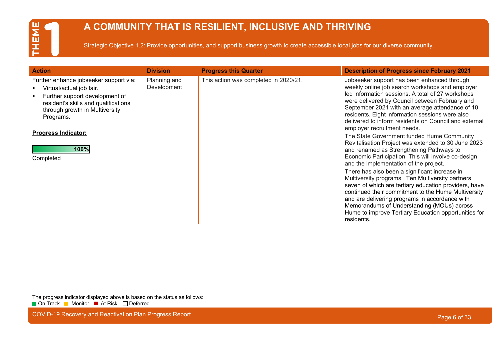## **A COMMUNITY THAT IS RESILIENT, INCLUSIVE AND THRIVING**

Strategic Objective 1.2: Provide opportunities, and support business growth to create accessible local jobs for our diverse community.

| <b>Action</b>                                                                                                                                                                                                                                  | <b>Division</b>             | <b>Progress this Quarter</b>          | <b>Description of Progress since February 2021</b>                                                                                                                                                                                                                                                                                                                                                                                                                                                                                                                                                                                                                                                                                                                                                                                                                                                                                                                                                                                                |
|------------------------------------------------------------------------------------------------------------------------------------------------------------------------------------------------------------------------------------------------|-----------------------------|---------------------------------------|---------------------------------------------------------------------------------------------------------------------------------------------------------------------------------------------------------------------------------------------------------------------------------------------------------------------------------------------------------------------------------------------------------------------------------------------------------------------------------------------------------------------------------------------------------------------------------------------------------------------------------------------------------------------------------------------------------------------------------------------------------------------------------------------------------------------------------------------------------------------------------------------------------------------------------------------------------------------------------------------------------------------------------------------------|
| Further enhance jobseeker support via:<br>Virtual/actual job fair.<br>Further support development of<br>resident's skills and qualifications<br>through growth in Multiversity<br>Programs.<br><b>Progress Indicator:</b><br>100%<br>Completed | Planning and<br>Development | This action was completed in 2020/21. | Jobseeker support has been enhanced through<br>weekly online job search workshops and employer<br>led information sessions. A total of 27 workshops<br>were delivered by Council between February and<br>September 2021 with an average attendance of 10<br>residents. Eight information sessions were also<br>delivered to inform residents on Council and external<br>employer recruitment needs.<br>The State Government funded Hume Community<br>Revitalisation Project was extended to 30 June 2023<br>and renamed as Strengthening Pathways to<br>Economic Participation. This will involve co-design<br>and the implementation of the project.<br>There has also been a significant increase in<br>Multiversity programs. Ten Multiversity partners,<br>seven of which are tertiary education providers, have<br>continued their commitment to the Hume Multiversity<br>and are delivering programs in accordance with<br>Memorandums of Understanding (MOUs) across<br>Hume to improve Tertiary Education opportunities for<br>residents. |

The progress indicator displayed above is based on the status as follows: ■ On Track ■ Monitor ■ At Risk □ Deferred

COVID-19 Recovery and Reactivation Plan Progress Report **Page 6 of 33** and 200 km and 200 km and 200 km and 200 km and 200 km and 200 km and 200 km and 200 km and 200 km and 200 km and 200 km and 200 km and 200 km and 200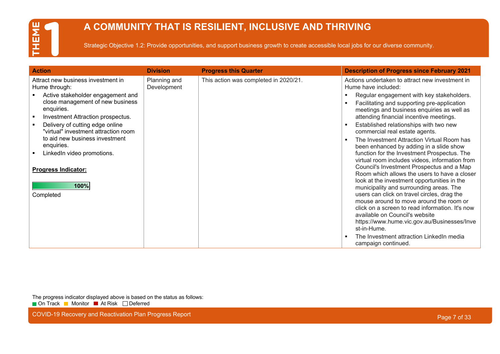## **A COMMUNITY THAT IS RESILIENT, INCLUSIVE AND THRIVING**

Strategic Objective 1.2: Provide opportunities, and support business growth to create accessible local jobs for our diverse community.

| <b>Action</b>                                                                                                                                                                                                                                                                                                                                                                               | <b>Division</b>             | <b>Progress this Quarter</b>          | <b>Description of Progress since February 2021</b>                                                                                                                                                                                                                                                                                                                                                                                                                                                                                                                                                                                                                                                                                                                                                                                                                                                                                                                                                                                                      |
|---------------------------------------------------------------------------------------------------------------------------------------------------------------------------------------------------------------------------------------------------------------------------------------------------------------------------------------------------------------------------------------------|-----------------------------|---------------------------------------|---------------------------------------------------------------------------------------------------------------------------------------------------------------------------------------------------------------------------------------------------------------------------------------------------------------------------------------------------------------------------------------------------------------------------------------------------------------------------------------------------------------------------------------------------------------------------------------------------------------------------------------------------------------------------------------------------------------------------------------------------------------------------------------------------------------------------------------------------------------------------------------------------------------------------------------------------------------------------------------------------------------------------------------------------------|
| Attract new business investment in<br>Hume through:<br>Active stakeholder engagement and<br>close management of new business<br>enquiries.<br>Investment Attraction prospectus.<br>Delivery of cutting edge online<br>"virtual" investment attraction room<br>to aid new business investment<br>enquiries.<br>LinkedIn video promotions.<br><b>Progress Indicator:</b><br>100%<br>Completed | Planning and<br>Development | This action was completed in 2020/21. | Actions undertaken to attract new investment in<br>Hume have included:<br>Regular engagement with key stakeholders.<br>п<br>Facilitating and supporting pre-application<br>meetings and business enquiries as well as<br>attending financial incentive meetings.<br>Established relationships with two new<br>л<br>commercial real estate agents.<br>The Investment Attraction Virtual Room has<br>been enhanced by adding in a slide show<br>function for the Investment Prospectus. The<br>virtual room includes videos, information from<br>Council's Investment Prospectus and a Map<br>Room which allows the users to have a closer<br>look at the investment opportunities in the<br>municipality and surrounding areas. The<br>users can click on travel circles, drag the<br>mouse around to move around the room or<br>click on a screen to read information. It's now<br>available on Council's website<br>https://www.hume.vic.gov.au/Businesses/Inve<br>st-in-Hume.<br>The Investment attraction LinkedIn media<br>×<br>campaign continued. |

The progress indicator displayed above is based on the status as follows: ■ On Track ■ Monitor ■ At Risk □ Deferred

COVID-19 Recovery and Reactivation Plan Progress Report **Page 7 of 33** and 200 km and 200 km and 200 km and 200 km and 200 km and 200 km and 200 km and 200 km and 200 km and 200 km and 200 km and 200 km and 200 km and 200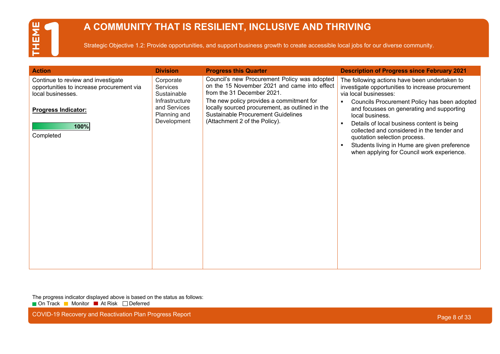## **A COMMUNITY THAT IS RESILIENT, INCLUSIVE AND THRIVING**

Strategic Objective 1.2: Provide opportunities, and support business growth to create accessible local jobs for our diverse community.

| <b>Action</b>                                                                                                                                           | <b>Division</b>                                                                                              | <b>Progress this Quarter</b>                                                                                                                                                                                                                                                                            | <b>Description of Progress since February 2021</b>                                                                                                                                                                                                                                                                                                                                                                                                                         |
|---------------------------------------------------------------------------------------------------------------------------------------------------------|--------------------------------------------------------------------------------------------------------------|---------------------------------------------------------------------------------------------------------------------------------------------------------------------------------------------------------------------------------------------------------------------------------------------------------|----------------------------------------------------------------------------------------------------------------------------------------------------------------------------------------------------------------------------------------------------------------------------------------------------------------------------------------------------------------------------------------------------------------------------------------------------------------------------|
| Continue to review and investigate<br>opportunities to increase procurement via<br>local businesses.<br><b>Progress Indicator:</b><br>100%<br>Completed | Corporate<br><b>Services</b><br>Sustainable<br>Infrastructure<br>and Services<br>Planning and<br>Development | Council's new Procurement Policy was adopted<br>on the 15 November 2021 and came into effect<br>from the 31 December 2021.<br>The new policy provides a commitment for<br>locally sourced procurement, as outlined in the<br><b>Sustainable Procurement Guidelines</b><br>(Attachment 2 of the Policy). | The following actions have been undertaken to<br>investigate opportunities to increase procurement<br>via local businesses:<br>Councils Procurement Policy has been adopted<br>٠<br>and focusses on generating and supporting<br>local business.<br>Details of local business content is being<br>collected and considered in the tender and<br>quotation selection process.<br>Students living in Hume are given preference<br>when applying for Council work experience. |

The progress indicator displayed above is based on the status as follows: ■ On Track ■ Monitor ■ At Risk □ Deferred

COVID-19 Recovery and Reactivation Plan Progress Report **Page 8 of 33** and 200 km and 200 km and 200 km and 200 km and 200 km and 200 km and 200 km and 200 km and 200 km and 200 km and 200 km and 200 km and 200 km and 200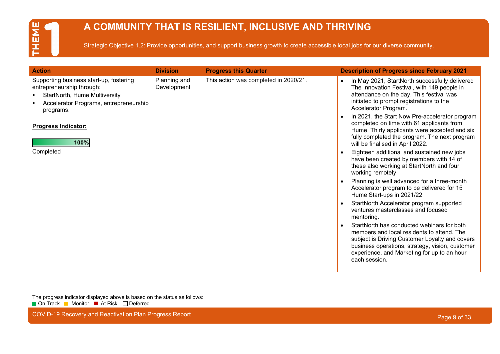## **A COMMUNITY THAT IS RESILIENT, INCLUSIVE AND THRIVING**

Strategic Objective 1.2: Provide opportunities, and support business growth to create accessible local jobs for our diverse community.

| <b>Action</b>                                                                                                                                                | <b>Division</b>             | <b>Progress this Quarter</b>          | <b>Description of Progress since February 2021</b>                                                                                                                                                                                                            |
|--------------------------------------------------------------------------------------------------------------------------------------------------------------|-----------------------------|---------------------------------------|---------------------------------------------------------------------------------------------------------------------------------------------------------------------------------------------------------------------------------------------------------------|
| Supporting business start-up, fostering<br>entrepreneurship through:<br>StartNorth, Hume Multiversity<br>Accelerator Programs, entrepreneurship<br>programs. | Planning and<br>Development | This action was completed in 2020/21. | In May 2021, StartNorth successfully delivered<br>The Innovation Festival, with 149 people in<br>attendance on the day. This festival was<br>initiated to prompt registrations to the<br>Accelerator Program.                                                 |
| <b>Progress Indicator:</b><br>100%                                                                                                                           |                             |                                       | In 2021, the Start Now Pre-accelerator program<br>completed on time with 61 applicants from<br>Hume. Thirty applicants were accepted and six<br>fully completed the program. The next program<br>will be finalised in April 2022.                             |
| Completed                                                                                                                                                    |                             |                                       | Eighteen additional and sustained new jobs<br>have been created by members with 14 of<br>these also working at StartNorth and four<br>working remotely.                                                                                                       |
|                                                                                                                                                              |                             |                                       | Planning is well advanced for a three-month<br>Accelerator program to be delivered for 15<br>Hume Start-ups in 2021/22.                                                                                                                                       |
|                                                                                                                                                              |                             |                                       | StartNorth Accelerator program supported<br>ventures masterclasses and focused<br>mentoring.                                                                                                                                                                  |
|                                                                                                                                                              |                             |                                       | StartNorth has conducted webinars for both<br>members and local residents to attend. The<br>subject is Driving Customer Loyalty and covers<br>business operations, strategy, vision, customer<br>experience, and Marketing for up to an hour<br>each session. |

The progress indicator displayed above is based on the status as follows: ■ On Track ■ Monitor ■ At Risk □ Deferred

COVID-19 Recovery and Reactivation Plan Progress Report **Page 19th Covid-2012** COVID-19 Recovery and Reactivation Plan Progress Report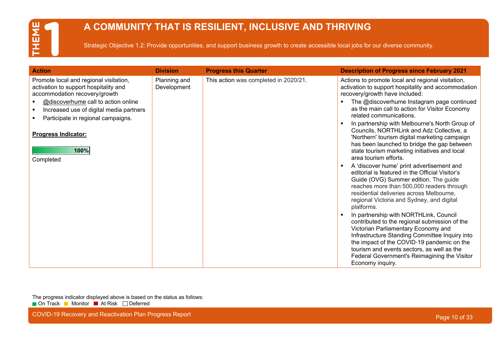## **A COMMUNITY THAT IS RESILIENT, INCLUSIVE AND THRIVING**

Strategic Objective 1.2: Provide opportunities, and support business growth to create accessible local jobs for our diverse community.

| <b>Action</b>                                                                                                                                                                                                                                                                               | <b>Division</b>             | <b>Progress this Quarter</b>          | <b>Description of Progress since February 2021</b>                                                                                                                                                                                                                                                                                                                                                                                                                                                                                                                                                                                                                                                                                                                                                                                                                                                                                                                                                                                                                                                                                                                          |
|---------------------------------------------------------------------------------------------------------------------------------------------------------------------------------------------------------------------------------------------------------------------------------------------|-----------------------------|---------------------------------------|-----------------------------------------------------------------------------------------------------------------------------------------------------------------------------------------------------------------------------------------------------------------------------------------------------------------------------------------------------------------------------------------------------------------------------------------------------------------------------------------------------------------------------------------------------------------------------------------------------------------------------------------------------------------------------------------------------------------------------------------------------------------------------------------------------------------------------------------------------------------------------------------------------------------------------------------------------------------------------------------------------------------------------------------------------------------------------------------------------------------------------------------------------------------------------|
| Promote local and regional visitation,<br>activation to support hospitality and<br>accommodation recovery/growth<br>@discoverhume call to action online<br>Increased use of digital media partners<br>Participate in regional campaigns.<br><b>Progress Indicator:</b><br>100%<br>Completed | Planning and<br>Development | This action was completed in 2020/21. | Actions to promote local and regional visitation,<br>activation to support hospitality and accommodation<br>recovery/growth have included:<br>The @discoverhume Instagram page continued<br>as the main call to action for Visitor Economy<br>related communications.<br>In partnership with Melbourne's North Group of<br>Councils, NORTHLink and Adz Collective, a<br>'Northern' tourism digital marketing campaign<br>has been launched to bridge the gap between<br>state tourism marketing initiatives and local<br>area tourism efforts.<br>A 'discover hume' print advertisement and<br>editorial is featured in the Official Visitor's<br>Guide (OVG) Summer edition. The guide<br>reaches more than 500,000 readers through<br>residential deliveries across Melbourne,<br>regional Victoria and Sydney, and digital<br>platforms.<br>In partnership with NORTHLink, Council<br>contributed to the regional submission of the<br>Victorian Parliamentary Economy and<br>Infrastructure Standing Committee Inquiry into<br>the impact of the COVID-19 pandemic on the<br>tourism and events sectors, as well as the<br>Federal Government's Reimagining the Visitor |

The progress indicator displayed above is based on the status as follows: ■ On Track ■ Monitor ■ At Risk □ Deferred

COVID-19 Recovery and Reactivation Plan Progress Report **Page 10 of 33** COVID-19 Recovery and Reactivation Plan Progress Report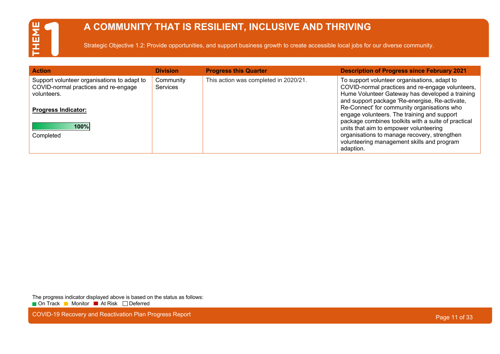## **A COMMUNITY THAT IS RESILIENT, INCLUSIVE AND THRIVING**

Strategic Objective 1.2: Provide opportunities, and support business growth to create accessible local jobs for our diverse community.

| <b>Action</b>                                                                                                                    | <b>Division</b>              | <b>Progress this Quarter</b>          | <b>Description of Progress since February 2021</b>                                                                                                                                                                                                      |
|----------------------------------------------------------------------------------------------------------------------------------|------------------------------|---------------------------------------|---------------------------------------------------------------------------------------------------------------------------------------------------------------------------------------------------------------------------------------------------------|
| Support volunteer organisations to adapt to<br>COVID-normal practices and re-engage<br>volunteers.<br><b>Progress Indicator:</b> | Community<br><b>Services</b> | This action was completed in 2020/21. | To support volunteer organisations, adapt to<br>COVID-normal practices and re-engage volunteers,<br>Hume Volunteer Gateway has developed a training<br>and support package 'Re-energise, Re-activate,<br>Re-Connect' for community organisations who    |
| 100%<br>Completed                                                                                                                |                              |                                       | engage volunteers. The training and support<br>package combines toolkits with a suite of practical<br>units that aim to empower volunteering<br>organisations to manage recovery, strengthen<br>volunteering management skills and program<br>adaption. |

The progress indicator displayed above is based on the status as follows: ■ On Track ■ Monitor ■ At Risk □ Deferred

COVID-19 Recovery and Reactivation Plan Progress Report **Page 11 of 33** COVID-19 Recovery and Reactivation Plan Progress Report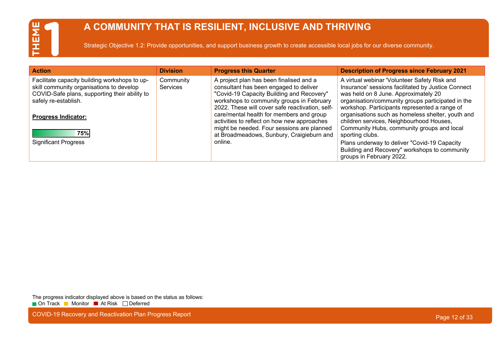## **A COMMUNITY THAT IS RESILIENT, INCLUSIVE AND THRIVING**

Strategic Objective 1.2: Provide opportunities, and support business growth to create accessible local jobs for our diverse community.

| <b>Action</b>                                                                                                                                                      | <b>Division</b>       | <b>Progress this Quarter</b>                                                                                                                                                                                                   | <b>Description of Progress since February 2021</b>                                                                                                                                                                                               |
|--------------------------------------------------------------------------------------------------------------------------------------------------------------------|-----------------------|--------------------------------------------------------------------------------------------------------------------------------------------------------------------------------------------------------------------------------|--------------------------------------------------------------------------------------------------------------------------------------------------------------------------------------------------------------------------------------------------|
| Facilitate capacity building workshops to up-<br>skill community organisations to develop<br>COVID-Safe plans, supporting their ability to<br>safely re-establish. | Community<br>Services | A project plan has been finalised and a<br>consultant has been engaged to deliver<br>"Covid-19 Capacity Building and Recovery"<br>workshops to community groups in February<br>2022. These will cover safe reactivation, self- | A virtual webinar 'Volunteer Safety Risk and<br>Insurance' sessions facilitated by Justice Connect<br>was held on 8 June. Approximately 20<br>organisation/community groups participated in the<br>workshop. Participants represented a range of |
| <b>Progress Indicator:</b><br>75%                                                                                                                                  |                       | care/mental health for members and group<br>activities to reflect on how new approaches<br>might be needed. Four sessions are planned<br>at Broadmeadows, Sunbury, Craigieburn and                                             | organisations such as homeless shelter, youth and<br>children services, Neighbourhood Houses,<br>Community Hubs, community groups and local<br>sporting clubs.                                                                                   |
| <b>Significant Progress</b>                                                                                                                                        |                       | online.                                                                                                                                                                                                                        | Plans underway to deliver "Covid-19 Capacity<br>Building and Recovery" workshops to community<br>groups in February 2022.                                                                                                                        |

The progress indicator displayed above is based on the status as follows: ■ On Track ■ Monitor ■ At Risk □ Deferred

COVID-19 Recovery and Reactivation Plan Progress Report **Page 12 of 33** COVID-19 Recovery and Reactivation Plan Progress Report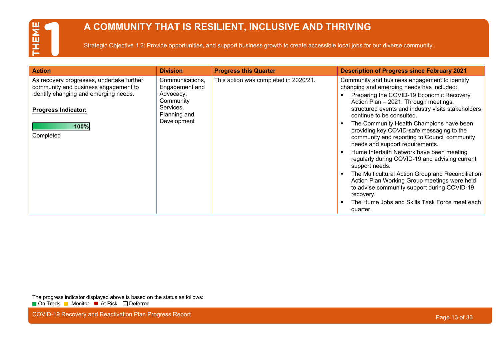## **A COMMUNITY THAT IS RESILIENT, INCLUSIVE AND THRIVING**

Strategic Objective 1.2: Provide opportunities, and support business growth to create accessible local jobs for our diverse community.

| <b>Division</b>                                                                                         | <b>Progress this Quarter</b>          | <b>Description of Progress since February 2021</b>                                                                                                                                                                                                                                                                                                                                                                                                                                                                                                                                                                                                                                                                  |
|---------------------------------------------------------------------------------------------------------|---------------------------------------|---------------------------------------------------------------------------------------------------------------------------------------------------------------------------------------------------------------------------------------------------------------------------------------------------------------------------------------------------------------------------------------------------------------------------------------------------------------------------------------------------------------------------------------------------------------------------------------------------------------------------------------------------------------------------------------------------------------------|
| Communications,<br>Engagement and<br>Advocacy,<br>Community<br>Services,<br>Planning and<br>Development | This action was completed in 2020/21. | Community and business engagement to identify<br>changing and emerging needs has included:<br>Preparing the COVID-19 Economic Recovery<br>Action Plan - 2021. Through meetings,<br>structured events and industry visits stakeholders<br>continue to be consulted.<br>The Community Health Champions have been<br>providing key COVID-safe messaging to the<br>community and reporting to Council community<br>needs and support requirements.<br>Hume Interfaith Network have been meeting<br>regularly during COVID-19 and advising current<br>support needs.<br>The Multicultural Action Group and Reconciliation<br>Action Plan Working Group meetings were held<br>to advise community support during COVID-19 |
|                                                                                                         |                                       | recovery.<br>The Hume Jobs and Skills Task Force meet each<br>quarter.                                                                                                                                                                                                                                                                                                                                                                                                                                                                                                                                                                                                                                              |
|                                                                                                         |                                       |                                                                                                                                                                                                                                                                                                                                                                                                                                                                                                                                                                                                                                                                                                                     |

The progress indicator displayed above is based on the status as follows: ■ On Track ■ Monitor ■ At Risk □ Deferred

COVID-19 Recovery and Reactivation Plan Progress Report **Page 13 of 33** and 200 km and 200 km and 200 km and 200 km and 200 km and 200 km and 200 km and 200 km and 200 km and 200 km and 200 km and 200 km and 200 km and 200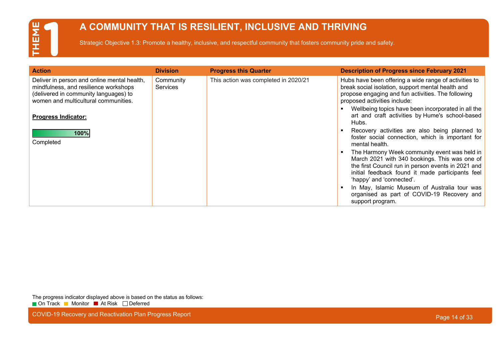### **A COMMUNITY THAT IS RESILIENT, INCLUSIVE AND THRIVING**

Strategic Objective 1.3: Promote a healthy, inclusive, and respectful community that fosters community pride and safety.

| <b>Action</b>                                                                                                                                                                                       | <b>Division</b>              | <b>Progress this Quarter</b>         | <b>Description of Progress since February 2021</b>                                                                                                                                                                                                                                                        |
|-----------------------------------------------------------------------------------------------------------------------------------------------------------------------------------------------------|------------------------------|--------------------------------------|-----------------------------------------------------------------------------------------------------------------------------------------------------------------------------------------------------------------------------------------------------------------------------------------------------------|
| Deliver in person and online mental health,<br>mindfulness, and resilience workshops<br>(delivered in community languages) to<br>women and multicultural communities.<br><b>Progress Indicator:</b> | Community<br><b>Services</b> | This action was completed in 2020/21 | Hubs have been offering a wide range of activities to<br>break social isolation, support mental health and<br>propose engaging and fun activities. The following<br>proposed activities include:<br>Wellbeing topics have been incorporated in all the<br>art and craft activities by Hume's school-based |
| 100%<br>Completed                                                                                                                                                                                   |                              |                                      | Hubs.<br>Recovery activities are also being planned to<br>foster social connection, which is important for<br>mental health.                                                                                                                                                                              |
|                                                                                                                                                                                                     |                              |                                      | The Harmony Week community event was held in<br>March 2021 with 340 bookings. This was one of<br>the first Council run in person events in 2021 and<br>initial feedback found it made participants feel<br>'happy' and 'connected'.                                                                       |
|                                                                                                                                                                                                     |                              |                                      | In May, Islamic Museum of Australia tour was<br>organised as part of COVID-19 Recovery and<br>support program.                                                                                                                                                                                            |

The progress indicator displayed above is based on the status as follows: ■ On Track ■ Monitor ■ At Risk □ Deferred

COVID-19 Recovery and Reactivation Plan Progress Report **Page 14 of 33** COVID-19 Recovery and Reactivation Plan Progress Report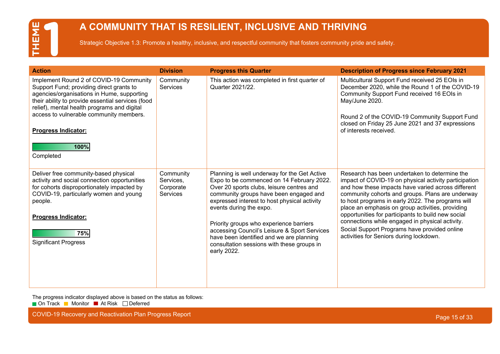## EME F

### **A COMMUNITY THAT IS RESILIENT, INCLUSIVE AND THRIVING**

Strategic Objective 1.3: Promote a healthy, inclusive, and respectful community that fosters community pride and safety.

| <b>Action</b>                                                                                                                                                                                                                                                                                                                       | <b>Division</b>                                 | <b>Progress this Quarter</b>                                                                                                                                                                                                                                                                                                                                                                                                                                    | <b>Description of Progress since February 2021</b>                                                                                                                                                                                                                                                                                                                                                                                                                                                                            |
|-------------------------------------------------------------------------------------------------------------------------------------------------------------------------------------------------------------------------------------------------------------------------------------------------------------------------------------|-------------------------------------------------|-----------------------------------------------------------------------------------------------------------------------------------------------------------------------------------------------------------------------------------------------------------------------------------------------------------------------------------------------------------------------------------------------------------------------------------------------------------------|-------------------------------------------------------------------------------------------------------------------------------------------------------------------------------------------------------------------------------------------------------------------------------------------------------------------------------------------------------------------------------------------------------------------------------------------------------------------------------------------------------------------------------|
| Implement Round 2 of COVID-19 Community<br>Support Fund; providing direct grants to<br>agencies/organisations in Hume, supporting<br>their ability to provide essential services (food<br>relief), mental health programs and digital<br>access to vulnerable community members.<br><b>Progress Indicator:</b><br>100%<br>Completed | Community<br><b>Services</b>                    | This action was completed in first quarter of<br>Quarter 2021/22.                                                                                                                                                                                                                                                                                                                                                                                               | Multicultural Support Fund received 25 EOIs in<br>December 2020, while the Round 1 of the COVID-19<br>Community Support Fund received 16 EOIs in<br>May/June 2020.<br>Round 2 of the COVID-19 Community Support Fund<br>closed on Friday 25 June 2021 and 37 expressions<br>of interests received.                                                                                                                                                                                                                            |
| Deliver free community-based physical<br>activity and social connection opportunities<br>for cohorts disproportionately impacted by<br>COVID-19, particularly women and young<br>people.<br><b>Progress Indicator:</b><br>75%<br><b>Significant Progress</b>                                                                        | Community<br>Services,<br>Corporate<br>Services | Planning is well underway for the Get Active<br>Expo to be commenced on 14 February 2022.<br>Over 20 sports clubs, leisure centres and<br>community groups have been engaged and<br>expressed interest to host physical activity<br>events during the expo.<br>Priority groups who experience barriers<br>accessing Council's Leisure & Sport Services<br>have been identified and we are planning<br>consultation sessions with these groups in<br>early 2022. | Research has been undertaken to determine the<br>impact of COVID-19 on physical activity participation<br>and how these impacts have varied across different<br>community cohorts and groups. Plans are underway<br>to host programs in early 2022. The programs will<br>place an emphasis on group activities, providing<br>opportunities for participants to build new social<br>connections while engaged in physical activity.<br>Social Support Programs have provided online<br>activities for Seniors during lockdown. |

The progress indicator displayed above is based on the status as follows:

■ On Track ■ Monitor ■ At Risk □ Deferred

COVID-19 Recovery and Reactivation Plan Progress Report **Page 15 of 33** COVID-19 Recovery and Reactivation Plan Progress Report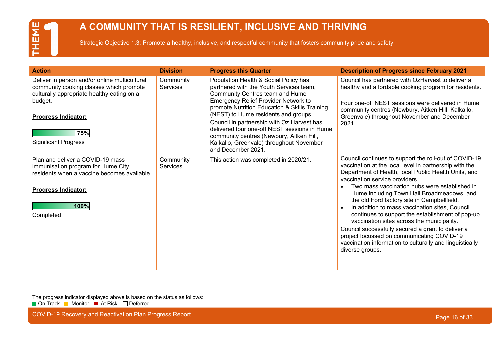### **A COMMUNITY THAT IS RESILIENT, INCLUSIVE AND THRIVING**

Strategic Objective 1.3: Promote a healthy, inclusive, and respectful community that fosters community pride and safety.

| <b>Action</b>                                                                                                                                                                                                         | <b>Division</b>              | <b>Progress this Quarter</b>                                                                                                                                                                                                                                                                                                                                                                                                                                     | <b>Description of Progress since February 2021</b>                                                                                                                                                                                                                                                                                                                                                                                                                                                                                                                                                                                                                                            |
|-----------------------------------------------------------------------------------------------------------------------------------------------------------------------------------------------------------------------|------------------------------|------------------------------------------------------------------------------------------------------------------------------------------------------------------------------------------------------------------------------------------------------------------------------------------------------------------------------------------------------------------------------------------------------------------------------------------------------------------|-----------------------------------------------------------------------------------------------------------------------------------------------------------------------------------------------------------------------------------------------------------------------------------------------------------------------------------------------------------------------------------------------------------------------------------------------------------------------------------------------------------------------------------------------------------------------------------------------------------------------------------------------------------------------------------------------|
| Deliver in person and/or online multicultural<br>community cooking classes which promote<br>culturally appropriate healthy eating on a<br>budget.<br><b>Progress Indicator:</b><br>75%<br><b>Significant Progress</b> | Community<br><b>Services</b> | Population Health & Social Policy has<br>partnered with the Youth Services team,<br>Community Centres team and Hume<br>Emergency Relief Provider Network to<br>promote Nutrition Education & Skills Training<br>(NEST) to Hume residents and groups.<br>Council in partnership with Oz Harvest has<br>delivered four one-off NEST sessions in Hume<br>community centres (Newbury, Aitken Hill,<br>Kalkallo, Greenvale) throughout November<br>and December 2021. | Council has partnered with OzHarvest to deliver a<br>healthy and affordable cooking program for residents.<br>Four one-off NEST sessions were delivered in Hume<br>community centres (Newbury, Aitken Hill, Kalkallo,<br>Greenvale) throughout November and December<br>2021.                                                                                                                                                                                                                                                                                                                                                                                                                 |
| Plan and deliver a COVID-19 mass<br>immunisation program for Hume City<br>residents when a vaccine becomes available.<br><b>Progress Indicator:</b><br>100%<br>Completed                                              | Community<br><b>Services</b> | This action was completed in 2020/21.                                                                                                                                                                                                                                                                                                                                                                                                                            | Council continues to support the roll-out of COVID-19<br>vaccination at the local level in partnership with the<br>Department of Health, local Public Health Units, and<br>vaccination service providers.<br>Two mass vaccination hubs were established in<br>Hume including Town Hall Broadmeadows, and<br>the old Ford factory site in Campbellfield.<br>In addition to mass vaccination sites, Council<br>continues to support the establishment of pop-up<br>vaccination sites across the municipality.<br>Council successfully secured a grant to deliver a<br>project focussed on communicating COVID-19<br>vaccination information to culturally and linguistically<br>diverse groups. |

The progress indicator displayed above is based on the status as follows: ■ On Track ■ Monitor ■ At Risk □ Deferred

COVID-19 Recovery and Reactivation Plan Progress Report **Page 16 of 33** COVID-19 Recovery and Reactivation Plan Progress Report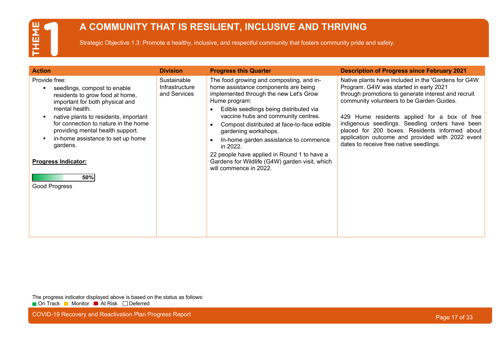### **A COMMUNITY THAT IS RESILIENT, INCLUSIVE AND THRIVING**

Strategic Objective 1.3: Promote a healthy, inclusive, and respectful community that fosters community pride and safety.

| <b>Action</b>                                                                                                                                                                                                                                                                                                                                                     | <b>Division</b>                                      | <b>Progress this Quarter</b>                                                                                                                                                                                                                                                                                                                                                                                                                                                       | <b>Description of Progress since February 2021</b>                                                                                                                                                                                                                                                                                                                                                                                                    |
|-------------------------------------------------------------------------------------------------------------------------------------------------------------------------------------------------------------------------------------------------------------------------------------------------------------------------------------------------------------------|------------------------------------------------------|------------------------------------------------------------------------------------------------------------------------------------------------------------------------------------------------------------------------------------------------------------------------------------------------------------------------------------------------------------------------------------------------------------------------------------------------------------------------------------|-------------------------------------------------------------------------------------------------------------------------------------------------------------------------------------------------------------------------------------------------------------------------------------------------------------------------------------------------------------------------------------------------------------------------------------------------------|
| Provide free:<br>seedlings, compost to enable<br>residents to grow food at home,<br>important for both physical and<br>mental health.<br>native plants to residents, important<br>for connection to nature in the home<br>providing mental health support.<br>in-home assistance to set up home<br>gardens.<br><b>Progress Indicator:</b><br>50%<br>Good Progress | Sustainable<br><b>Infrastructure</b><br>and Services | The food growing and composting, and in-<br>home assistance components are being<br>implemented through the new Let's Grow<br>Hume program:<br>Edible seedlings being distributed via<br>vaccine hubs and community centres.<br>Compost distributed at face-to-face edible<br>gardening workshops.<br>In-home garden assistance to commence<br>in 2022.<br>22 people have applied in Round 1 to have a<br>Gardens for Wildlife (G4W) garden visit, which<br>will commence in 2022. | Native plants have included in the 'Gardens for G4W<br>Program. G4W was started in early 2021<br>through promotions to generate interest and recruit<br>community volunteers to be Garden Guides.<br>429 Hume residents applied for a box of free<br>indigenous seedlings. Seedling orders have been<br>placed for 200 boxes. Residents informed about<br>application outcome and provided with 2022 event<br>dates to receive free native seedlings. |

The progress indicator displayed above is based on the status as follows: ■ On Track ■ Monitor ■ At Risk □ Deferred

COVID-19 Recovery and Reactivation Plan Progress Report **Page 17 of 33** COVID-19 Recovery and Reactivation Plan Progress Report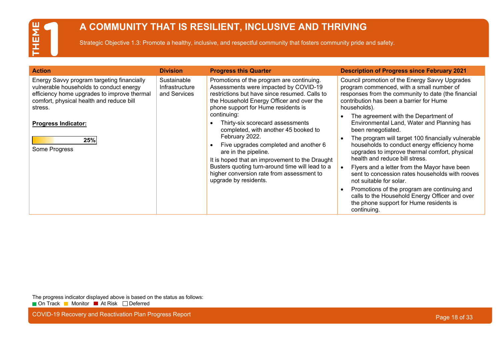## ENE Ē

### **A COMMUNITY THAT IS RESILIENT, INCLUSIVE AND THRIVING**

Strategic Objective 1.3: Promote a healthy, inclusive, and respectful community that fosters community pride and safety.

| <b>Action</b>                                                                                                                                                                                                                                     | <b>Division</b>                               | <b>Progress this Quarter</b>                                                                                                                                                                                                                                                                                                                                                                                                                                                                                                                                                     | <b>Description of Progress since February 2021</b>                                                                                                                                                                                                                                                                                                                                                                                                                                                                                                                                                                                                                                                                                                                                                            |
|---------------------------------------------------------------------------------------------------------------------------------------------------------------------------------------------------------------------------------------------------|-----------------------------------------------|----------------------------------------------------------------------------------------------------------------------------------------------------------------------------------------------------------------------------------------------------------------------------------------------------------------------------------------------------------------------------------------------------------------------------------------------------------------------------------------------------------------------------------------------------------------------------------|---------------------------------------------------------------------------------------------------------------------------------------------------------------------------------------------------------------------------------------------------------------------------------------------------------------------------------------------------------------------------------------------------------------------------------------------------------------------------------------------------------------------------------------------------------------------------------------------------------------------------------------------------------------------------------------------------------------------------------------------------------------------------------------------------------------|
| Energy Savvy program targeting financially<br>vulnerable households to conduct energy<br>efficiency home upgrades to improve thermal<br>comfort, physical health and reduce bill<br>stress.<br><b>Progress Indicator:</b><br>25%<br>Some Progress | Sustainable<br>Infrastructure<br>and Services | Promotions of the program are continuing.<br>Assessments were impacted by COVID-19<br>restrictions but have since resumed. Calls to<br>the Household Energy Officer and over the<br>phone support for Hume residents is<br>continuing:<br>Thirty-six scorecard assessments<br>completed, with another 45 booked to<br>February 2022.<br>Five upgrades completed and another 6<br>are in the pipeline.<br>It is hoped that an improvement to the Draught<br>Busters quoting turn-around time will lead to a<br>higher conversion rate from assessment to<br>upgrade by residents. | Council promotion of the Energy Savvy Upgrades<br>program commenced, with a small number of<br>responses from the community to date (the financial<br>contribution has been a barrier for Hume<br>households).<br>The agreement with the Department of<br>Environmental Land, Water and Planning has<br>been renegotiated.<br>The program will target 100 financially vulnerable<br>households to conduct energy efficiency home<br>upgrades to improve thermal comfort, physical<br>health and reduce bill stress.<br>Flyers and a letter from the Mayor have been<br>sent to concession rates households with rooves<br>not suitable for solar.<br>Promotions of the program are continuing and<br>calls to the Household Energy Officer and over<br>the phone support for Hume residents is<br>continuing. |

The progress indicator displayed above is based on the status as follows: ■ On Track ■ Monitor ■ At Risk □ Deferred

COVID-19 Recovery and Reactivation Plan Progress Report **Page 18 of 33** COVID-19 Recovery and Reactivation Plan Progress Report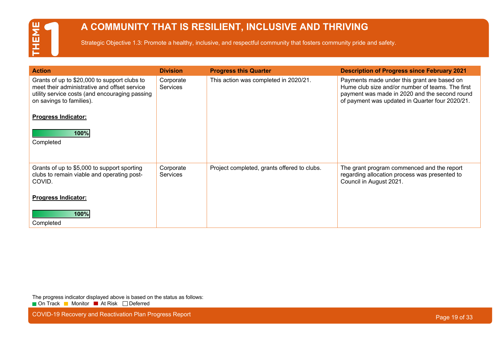### **A COMMUNITY THAT IS RESILIENT, INCLUSIVE AND THRIVING**

Strategic Objective 1.3: Promote a healthy, inclusive, and respectful community that fosters community pride and safety.

| <b>Action</b>                                                                                                                                                              | <b>Division</b>              | <b>Progress this Quarter</b>                | <b>Description of Progress since February 2021</b>                                                                                                                                                  |
|----------------------------------------------------------------------------------------------------------------------------------------------------------------------------|------------------------------|---------------------------------------------|-----------------------------------------------------------------------------------------------------------------------------------------------------------------------------------------------------|
| Grants of up to \$20,000 to support clubs to<br>meet their administrative and offset service<br>utility service costs (and encouraging passing<br>on savings to families). | Corporate<br><b>Services</b> | This action was completed in 2020/21.       | Payments made under this grant are based on<br>Hume club size and/or number of teams. The first<br>payment was made in 2020 and the second round<br>of payment was updated in Quarter four 2020/21. |
| <b>Progress Indicator:</b>                                                                                                                                                 |                              |                                             |                                                                                                                                                                                                     |
| 100%                                                                                                                                                                       |                              |                                             |                                                                                                                                                                                                     |
| Completed                                                                                                                                                                  |                              |                                             |                                                                                                                                                                                                     |
|                                                                                                                                                                            |                              |                                             |                                                                                                                                                                                                     |
| Grants of up to \$5,000 to support sporting<br>clubs to remain viable and operating post-<br>COVID.                                                                        | Corporate<br><b>Services</b> | Project completed, grants offered to clubs. | The grant program commenced and the report<br>regarding allocation process was presented to<br>Council in August 2021.                                                                              |
| <b>Progress Indicator:</b>                                                                                                                                                 |                              |                                             |                                                                                                                                                                                                     |
| 100%                                                                                                                                                                       |                              |                                             |                                                                                                                                                                                                     |
| Completed                                                                                                                                                                  |                              |                                             |                                                                                                                                                                                                     |

The progress indicator displayed above is based on the status as follows: ■ On Track ■ Monitor ■ At Risk □ Deferred

COVID-19 Recovery and Reactivation Plan Progress Report **Page 19 of 33** COVID-19 Recovery and Reactivation Plan Progress Report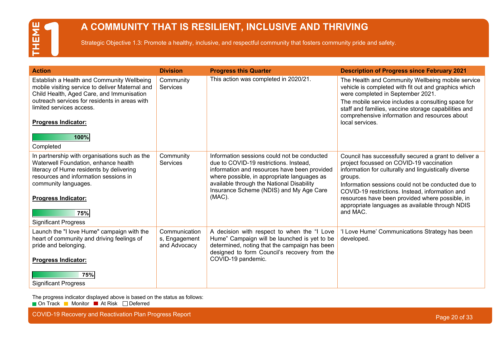### **A COMMUNITY THAT IS RESILIENT, INCLUSIVE AND THRIVING**

Strategic Objective 1.3: Promote a healthy, inclusive, and respectful community that fosters community pride and safety.

| <b>Action</b>                                                                                                                                                                                                                                                              | <b>Division</b>                                | <b>Progress this Quarter</b>                                                                                                                                                                                                                                                              | <b>Description of Progress since February 2021</b>                                                                                                                                                                                                                                                                                                                                               |
|----------------------------------------------------------------------------------------------------------------------------------------------------------------------------------------------------------------------------------------------------------------------------|------------------------------------------------|-------------------------------------------------------------------------------------------------------------------------------------------------------------------------------------------------------------------------------------------------------------------------------------------|--------------------------------------------------------------------------------------------------------------------------------------------------------------------------------------------------------------------------------------------------------------------------------------------------------------------------------------------------------------------------------------------------|
| Establish a Health and Community Wellbeing<br>mobile visiting service to deliver Maternal and<br>Child Health, Aged Care, and Immunisation<br>outreach services for residents in areas with<br>limited services access.<br><b>Progress Indicator:</b><br>100%<br>Completed | Community<br>Services                          | This action was completed in 2020/21.                                                                                                                                                                                                                                                     | The Health and Community Wellbeing mobile service<br>vehicle is completed with fit out and graphics which<br>were completed in September 2021.<br>The mobile service includes a consulting space for<br>staff and families, vaccine storage capabilities and<br>comprehensive information and resources about<br>local services.                                                                 |
| In partnership with organisations such as the<br>Waterwell Foundation, enhance health<br>literacy of Hume residents by delivering<br>resources and information sessions in<br>community languages.<br><b>Progress Indicator:</b><br>75%<br><b>Significant Progress</b>     | Community<br>Services                          | Information sessions could not be conducted<br>due to COVID-19 restrictions. Instead,<br>information and resources have been provided<br>where possible, in appropriate languages as<br>available through the National Disability<br>Insurance Scheme (NDIS) and My Age Care<br>$(MAC)$ . | Council has successfully secured a grant to deliver a<br>project focussed on COVID-19 vaccination<br>information for culturally and linguistically diverse<br>groups.<br>Information sessions could not be conducted due to<br>COVID-19 restrictions. Instead, information and<br>resources have been provided where possible, in<br>appropriate languages as available through NDIS<br>and MAC. |
| Launch the "I love Hume" campaign with the<br>heart of community and driving feelings of<br>pride and belonging.<br><b>Progress Indicator:</b><br>75%<br><b>Significant Progress</b>                                                                                       | Communication<br>s, Engagement<br>and Advocacy | A decision with respect to when the "I Love<br>Hume" Campaign will be launched is yet to be<br>determined, noting that the campaign has been<br>designed to form Council's recovery from the<br>COVID-19 pandemic.                                                                        | 'I Love Hume' Communications Strategy has been<br>developed.                                                                                                                                                                                                                                                                                                                                     |

The progress indicator displayed above is based on the status as follows:

■ On Track ■ Monitor ■ At Risk □ Deferred

COVID-19 Recovery and Reactivation Plan Progress Report **Page 20 of 33** COVID-19 Recovery and Reactivation Plan Progress Report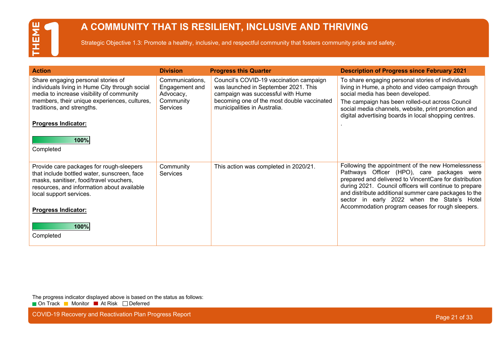### **A COMMUNITY THAT IS RESILIENT, INCLUSIVE AND THRIVING**

Strategic Objective 1.3: Promote a healthy, inclusive, and respectful community that fosters community pride and safety.

| <b>Action</b>                                                                                                                                                                                                                                         | <b>Division</b>                                                                | <b>Progress this Quarter</b>                                                                                                                                                                       | <b>Description of Progress since February 2021</b>                                                                                                                                                                                                                                                                          |
|-------------------------------------------------------------------------------------------------------------------------------------------------------------------------------------------------------------------------------------------------------|--------------------------------------------------------------------------------|----------------------------------------------------------------------------------------------------------------------------------------------------------------------------------------------------|-----------------------------------------------------------------------------------------------------------------------------------------------------------------------------------------------------------------------------------------------------------------------------------------------------------------------------|
| Share engaging personal stories of<br>individuals living in Hume City through social<br>media to increase visibility of community<br>members, their unique experiences, cultures,<br>traditions, and strengths.<br><b>Progress Indicator:</b><br>100% | Communications,<br>Engagement and<br>Advocacy,<br>Community<br><b>Services</b> | Council's COVID-19 vaccination campaign<br>was launched in September 2021. This<br>campaign was successful with Hume<br>becoming one of the most double vaccinated<br>municipalities in Australia. | To share engaging personal stories of individuals<br>living in Hume, a photo and video campaign through<br>social media has been developed.<br>The campaign has been rolled-out across Council<br>social media channels, website, print promotion and<br>digital advertising boards in local shopping centres.              |
| Completed                                                                                                                                                                                                                                             |                                                                                |                                                                                                                                                                                                    |                                                                                                                                                                                                                                                                                                                             |
| Provide care packages for rough-sleepers<br>that include bottled water, sunscreen, face<br>masks, sanitiser, food/travel vouchers,<br>resources, and information about available<br>local support services.                                           | Community<br>Services                                                          | This action was completed in 2020/21.                                                                                                                                                              | Following the appointment of the new Homelessness<br>Pathways Officer (HPO), care packages were<br>prepared and delivered to VincentCare for distribution<br>during 2021. Council officers will continue to prepare<br>and distribute additional summer care packages to the<br>sector in early 2022 when the State's Hotel |
| <b>Progress Indicator:</b>                                                                                                                                                                                                                            |                                                                                |                                                                                                                                                                                                    | Accommodation program ceases for rough sleepers.                                                                                                                                                                                                                                                                            |
| 100%                                                                                                                                                                                                                                                  |                                                                                |                                                                                                                                                                                                    |                                                                                                                                                                                                                                                                                                                             |
| Completed                                                                                                                                                                                                                                             |                                                                                |                                                                                                                                                                                                    |                                                                                                                                                                                                                                                                                                                             |

The progress indicator displayed above is based on the status as follows: ■ On Track ■ Monitor ■ At Risk □ Deferred

COVID-19 Recovery and Reactivation Plan Progress Report **Page 21 of 33** COVID-19 Recovery and Reactivation Plan Progress Report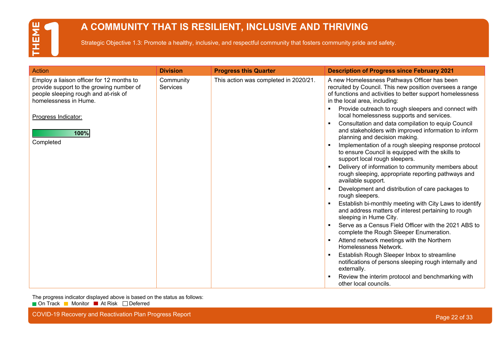### **A COMMUNITY THAT IS RESILIENT, INCLUSIVE AND THRIVING**

Strategic Objective 1.3: Promote a healthy, inclusive, and respectful community that fosters community pride and safety.

| <b>Action</b>                                                                                                                                                                                      | <b>Division</b>              | <b>Progress this Quarter</b>          | <b>Description of Progress since February 2021</b>                                                                                                                                                                                                                                                                                                                                                                                                                                                                                                                                                                                                                                                                                                                                                                                                                                                                                                                                                                                                                                                                                                                                                                                             |
|----------------------------------------------------------------------------------------------------------------------------------------------------------------------------------------------------|------------------------------|---------------------------------------|------------------------------------------------------------------------------------------------------------------------------------------------------------------------------------------------------------------------------------------------------------------------------------------------------------------------------------------------------------------------------------------------------------------------------------------------------------------------------------------------------------------------------------------------------------------------------------------------------------------------------------------------------------------------------------------------------------------------------------------------------------------------------------------------------------------------------------------------------------------------------------------------------------------------------------------------------------------------------------------------------------------------------------------------------------------------------------------------------------------------------------------------------------------------------------------------------------------------------------------------|
| Employ a liaison officer for 12 months to<br>provide support to the growing number of<br>people sleeping rough and at-risk of<br>homelessness in Hume.<br>Progress Indicator:<br>100%<br>Completed | Community<br><b>Services</b> | This action was completed in 2020/21. | A new Homelessness Pathways Officer has been<br>recruited by Council. This new position oversees a range<br>of functions and activities to better support homelessness<br>in the local area, including:<br>Provide outreach to rough sleepers and connect with<br>local homelessness supports and services.<br>Consultation and data compilation to equip Council<br>and stakeholders with improved information to inform<br>planning and decision making.<br>Implementation of a rough sleeping response protocol<br>to ensure Council is equipped with the skills to<br>support local rough sleepers.<br>Delivery of information to community members about<br>rough sleeping, appropriate reporting pathways and<br>available support.<br>Development and distribution of care packages to<br>rough sleepers.<br>Establish bi-monthly meeting with City Laws to identify<br>and address matters of interest pertaining to rough<br>sleeping in Hume City.<br>Serve as a Census Field Officer with the 2021 ABS to<br>complete the Rough Sleeper Enumeration.<br>Attend network meetings with the Northern<br>Homelessness Network.<br>Establish Rough Sleeper Inbox to streamline<br>notifications of persons sleeping rough internally and |
|                                                                                                                                                                                                    |                              |                                       | externally.<br>Review the interim protocol and benchmarking with<br>other local councils.                                                                                                                                                                                                                                                                                                                                                                                                                                                                                                                                                                                                                                                                                                                                                                                                                                                                                                                                                                                                                                                                                                                                                      |

The progress indicator displayed above is based on the status as follows: ■ On Track ■ Monitor ■ At Risk □ Deferred

COVID-19 Recovery and Reactivation Plan Progress Report **Page 22 of 33** COVID-19 Recovery and Reactivation Plan Progress Report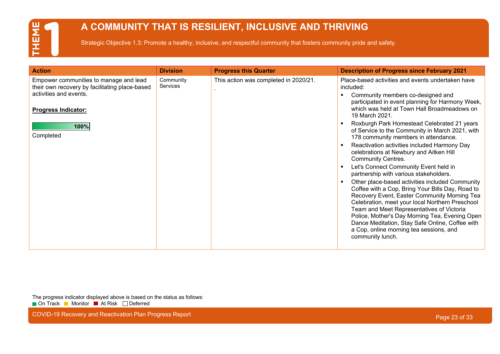### **A COMMUNITY THAT IS RESILIENT, INCLUSIVE AND THRIVING**

Strategic Objective 1.3: Promote a healthy, inclusive, and respectful community that fosters community pride and safety.

| <b>Action</b>                                                                            | <b>Division</b>       | <b>Progress this Quarter</b>          | <b>Description of Progress since February 2021</b>                                                                                                                                                                                                                                                                                                                                                                      |
|------------------------------------------------------------------------------------------|-----------------------|---------------------------------------|-------------------------------------------------------------------------------------------------------------------------------------------------------------------------------------------------------------------------------------------------------------------------------------------------------------------------------------------------------------------------------------------------------------------------|
| Empower communities to manage and lead<br>their own recovery by facilitating place-based | Community<br>Services | This action was completed in 2020/21. | Place-based activities and events undertaken have<br>included:                                                                                                                                                                                                                                                                                                                                                          |
| activities and events.                                                                   |                       |                                       | Community members co-designed and<br>participated in event planning for Harmony Week,                                                                                                                                                                                                                                                                                                                                   |
| <b>Progress Indicator:</b>                                                               |                       |                                       | which was held at Town Hall Broadmeadows on<br>19 March 2021.                                                                                                                                                                                                                                                                                                                                                           |
| 100%<br>Completed                                                                        |                       |                                       | Roxburgh Park Homestead Celebrated 21 years<br>of Service to the Community in March 2021, with<br>178 community members in attendance.                                                                                                                                                                                                                                                                                  |
|                                                                                          |                       |                                       | Reactivation activities included Harmony Day<br>celebrations at Newbury and Aitken Hill<br><b>Community Centres.</b>                                                                                                                                                                                                                                                                                                    |
|                                                                                          |                       |                                       | Let's Connect Community Event held in<br>partnership with various stakeholders.                                                                                                                                                                                                                                                                                                                                         |
|                                                                                          |                       |                                       | Other place-based activities included Community<br>Coffee with a Cop, Bring Your Bills Day, Road to<br>Recovery Event, Easter Community Morning Tea<br>Celebration, meet your local Northern Preschool<br>Team and Meet Representatives of Victoria<br>Police, Mother's Day Morning Tea, Evening Open<br>Dance Meditation, Stay Safe Online, Coffee with<br>a Cop, online morning tea sessions, and<br>community lunch. |

The progress indicator displayed above is based on the status as follows: ■ On Track ■ Monitor ■ At Risk □ Deferred

COVID-19 Recovery and Reactivation Plan Progress Report Page 23 of 33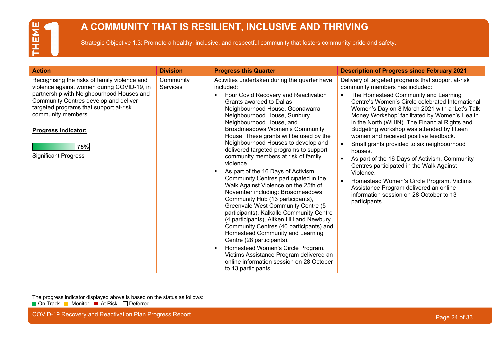### **A COMMUNITY THAT IS RESILIENT, INCLUSIVE AND THRIVING**

Strategic Objective 1.3: Promote a healthy, inclusive, and respectful community that fosters community pride and safety.

| <b>Action</b>                                                                                                                                                                                                                                                                                                        | <b>Division</b>              | <b>Progress this Quarter</b>                                                                                                                                                                                                                                                                                                                                                                                                                                                                                                                                                                                                                                                                                                                                                                                                                                                                                                                                                                                                                              | <b>Description of Progress since February 2021</b>                                                                                                                                                                                                                                                                                                                                                                                                                                                                                                                                                                                                                                                                                                 |
|----------------------------------------------------------------------------------------------------------------------------------------------------------------------------------------------------------------------------------------------------------------------------------------------------------------------|------------------------------|-----------------------------------------------------------------------------------------------------------------------------------------------------------------------------------------------------------------------------------------------------------------------------------------------------------------------------------------------------------------------------------------------------------------------------------------------------------------------------------------------------------------------------------------------------------------------------------------------------------------------------------------------------------------------------------------------------------------------------------------------------------------------------------------------------------------------------------------------------------------------------------------------------------------------------------------------------------------------------------------------------------------------------------------------------------|----------------------------------------------------------------------------------------------------------------------------------------------------------------------------------------------------------------------------------------------------------------------------------------------------------------------------------------------------------------------------------------------------------------------------------------------------------------------------------------------------------------------------------------------------------------------------------------------------------------------------------------------------------------------------------------------------------------------------------------------------|
| Recognising the risks of family violence and<br>violence against women during COVID-19, in<br>partnership with Neighbourhood Houses and<br>Community Centres develop and deliver<br>targeted programs that support at-risk<br>community members.<br><b>Progress Indicator:</b><br>75%<br><b>Significant Progress</b> | Community<br><b>Services</b> | Activities undertaken during the quarter have<br>included:<br>Four Covid Recovery and Reactivation<br>Grants awarded to Dallas<br>Neighbourhood House, Goonawarra<br>Neighbourhood House, Sunbury<br>Neighbourhood House, and<br><b>Broadmeadows Women's Community</b><br>House. These grants will be used by the<br>Neighbourhood Houses to develop and<br>delivered targeted programs to support<br>community members at risk of family<br>violence.<br>As part of the 16 Days of Activism,<br>Community Centres participated in the<br>Walk Against Violence on the 25th of<br>November including: Broadmeadows<br>Community Hub (13 participants),<br>Greenvale West Community Centre (5<br>participants), Kalkallo Community Centre<br>(4 participants), Aitken Hill and Newbury<br>Community Centres (40 participants) and<br>Homestead Community and Learning<br>Centre (28 participants).<br>Homestead Women's Circle Program.<br>п<br>Victims Assistance Program delivered an<br>online information session on 28 October<br>to 13 participants. | Delivery of targeted programs that support at-risk<br>community members has included:<br>The Homestead Community and Learning<br>Centre's Women's Circle celebrated International<br>Women's Day on 8 March 2021 with a 'Let's Talk<br>Money Workshop' facilitated by Women's Health<br>in the North (WHIN). The Financial Rights and<br>Budgeting workshop was attended by fifteen<br>women and received positive feedback.<br>Small grants provided to six neighbourhood<br>houses.<br>As part of the 16 Days of Activism, Community<br>Centres participated in the Walk Against<br>Violence.<br>Homestead Women's Circle Program. Victims<br>Assistance Program delivered an online<br>information session on 28 October to 13<br>participants. |

The progress indicator displayed above is based on the status as follows: ■ On Track ■ Monitor ■ At Risk □ Deferred

COVID-19 Recovery and Reactivation Plan Progress Report **Page 24 of 33** COVID-19 Recovery and Reactivation Plan Progress Report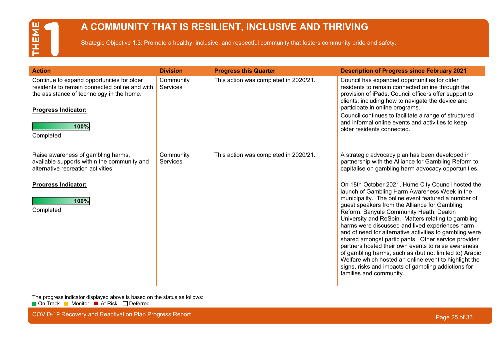### **A COMMUNITY THAT IS RESILIENT, INCLUSIVE AND THRIVING**

Strategic Objective 1.3: Promote a healthy, inclusive, and respectful community that fosters community pride and safety.

| <b>Action</b>                                                                                                                                                                               | <b>Division</b>              | <b>Progress this Quarter</b>          | <b>Description of Progress since February 2021</b>                                                                                                                                                                                                                                                                                                                                                                                                                                                                                                                                                                                                                                                                                             |
|---------------------------------------------------------------------------------------------------------------------------------------------------------------------------------------------|------------------------------|---------------------------------------|------------------------------------------------------------------------------------------------------------------------------------------------------------------------------------------------------------------------------------------------------------------------------------------------------------------------------------------------------------------------------------------------------------------------------------------------------------------------------------------------------------------------------------------------------------------------------------------------------------------------------------------------------------------------------------------------------------------------------------------------|
| Continue to expand opportunities for older<br>residents to remain connected online and with<br>the assistance of technology in the home.<br><b>Progress Indicator:</b><br>100%<br>Completed | Community<br><b>Services</b> | This action was completed in 2020/21. | Council has expanded opportunities for older<br>residents to remain connected online through the<br>provision of iPads. Council officers offer support to<br>clients, including how to navigate the device and<br>participate in online programs.<br>Council continues to facilitate a range of structured<br>and informal online events and activities to keep<br>older residents connected.                                                                                                                                                                                                                                                                                                                                                  |
| Raise awareness of gambling harms,<br>available supports within the community and<br>alternative recreation activities.                                                                     | Community<br><b>Services</b> | This action was completed in 2020/21. | A strategic advocacy plan has been developed in<br>partnership with the Alliance for Gambling Reform to<br>capitalise on gambling harm advocacy opportunities.                                                                                                                                                                                                                                                                                                                                                                                                                                                                                                                                                                                 |
| <b>Progress Indicator:</b><br>100%<br>Completed                                                                                                                                             |                              |                                       | On 18th October 2021, Hume City Council hosted the<br>launch of Gambling Harm Awareness Week in the<br>municipality. The online event featured a number of<br>guest speakers from the Alliance for Gambling<br>Reform, Banyule Community Heath, Deakin<br>University and ReSpin. Matters relating to gambling<br>harms were discussed and lived experiences harm<br>and of need for alternative activities to gambling were<br>shared amongst participants. Other service provider<br>partners hosted their own events to raise awareness<br>of gambling harms, such as (but not limited to) Arabic<br>Welfare which hosted an online event to highlight the<br>signs, risks and impacts of gambling addictions for<br>families and community. |

The progress indicator displayed above is based on the status as follows:

■ On Track ■ Monitor ■ At Risk □ Deferred

COVID-19 Recovery and Reactivation Plan Progress Report Page 25 of 33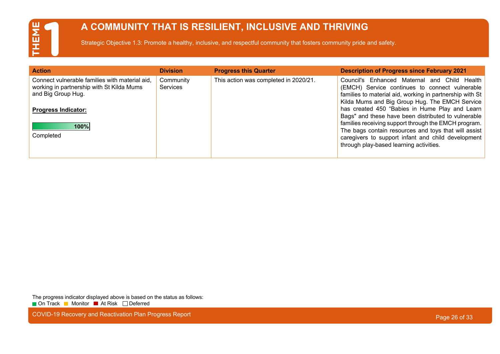### **A COMMUNITY THAT IS RESILIENT, INCLUSIVE AND THRIVING**

Strategic Objective 1.3: Promote a healthy, inclusive, and respectful community that fosters community pride and safety.

| <b>Action</b>                                                                                                                                   | <b>Division</b>       | <b>Progress this Quarter</b>          | <b>Description of Progress since February 2021</b>                                                                                                                                                                                                                   |
|-------------------------------------------------------------------------------------------------------------------------------------------------|-----------------------|---------------------------------------|----------------------------------------------------------------------------------------------------------------------------------------------------------------------------------------------------------------------------------------------------------------------|
| Connect vulnerable families with material aid,<br>working in partnership with St Kilda Mums<br>and Big Group Hug.<br><b>Progress Indicator:</b> | Community<br>Services | This action was completed in 2020/21. | Council's Enhanced Maternal<br>Child Health<br>and<br>(EMCH) Service continues to connect vulnerable<br>families to material aid, working in partnership with St<br>Kilda Mums and Big Group Hug. The EMCH Service<br>has created 450 "Babies in Hume Play and Learn |
| 100%<br>Completed                                                                                                                               |                       |                                       | Bags" and these have been distributed to vulnerable<br>families receiving support through the EMCH program.<br>The bags contain resources and toys that will assist<br>caregivers to support infant and child development<br>through play-based learning activities. |

The progress indicator displayed above is based on the status as follows: ■ On Track ■ Monitor ■ At Risk □ Deferred

COVID-19 Recovery and Reactivation Plan Progress Report **Page 26 of 33** COVID-19 Recovery and Reactivation Plan Progress Report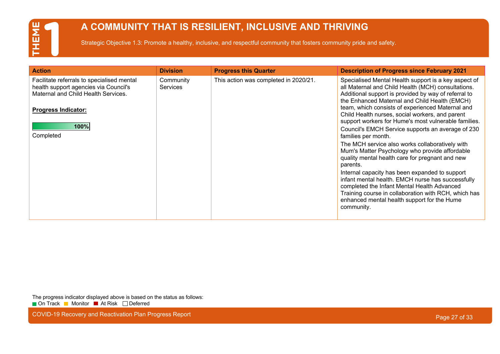### **A COMMUNITY THAT IS RESILIENT, INCLUSIVE AND THRIVING**

Strategic Objective 1.3: Promote a healthy, inclusive, and respectful community that fosters community pride and safety.

| <b>Action</b>                                                                                                                                                                 | <b>Division</b>              | <b>Progress this Quarter</b>          | <b>Description of Progress since February 2021</b>                                                                                                                                                                                                                                                                                                                                                                                                                                                                                                                                                                                                                                                                                                                                                                                               |
|-------------------------------------------------------------------------------------------------------------------------------------------------------------------------------|------------------------------|---------------------------------------|--------------------------------------------------------------------------------------------------------------------------------------------------------------------------------------------------------------------------------------------------------------------------------------------------------------------------------------------------------------------------------------------------------------------------------------------------------------------------------------------------------------------------------------------------------------------------------------------------------------------------------------------------------------------------------------------------------------------------------------------------------------------------------------------------------------------------------------------------|
| Facilitate referrals to specialised mental<br>health support agencies via Council's<br>Maternal and Child Health Services.<br><b>Progress Indicator:</b><br>100%<br>Completed | Community<br><b>Services</b> | This action was completed in 2020/21. | Specialised Mental Health support is a key aspect of<br>all Maternal and Child Health (MCH) consultations.<br>Additional support is provided by way of referral to<br>the Enhanced Maternal and Child Health (EMCH)<br>team, which consists of experienced Maternal and<br>Child Health nurses, social workers, and parent<br>support workers for Hume's most vulnerable families.<br>Council's EMCH Service supports an average of 230<br>families per month.<br>The MCH service also works collaboratively with<br>Mum's Matter Psychology who provide affordable<br>quality mental health care for pregnant and new<br>parents.<br>Internal capacity has been expanded to support<br>infant mental health. EMCH nurse has successfully<br>completed the Infant Mental Health Advanced<br>Training course in collaboration with RCH, which has |
|                                                                                                                                                                               |                              |                                       | enhanced mental health support for the Hume<br>community.                                                                                                                                                                                                                                                                                                                                                                                                                                                                                                                                                                                                                                                                                                                                                                                        |

The progress indicator displayed above is based on the status as follows: ■ On Track ■ Monitor ■ At Risk □ Deferred

COVID-19 Recovery and Reactivation Plan Progress Report **Page 27 of 33** COVID-19 Recovery and Reactivation Plan Progress Report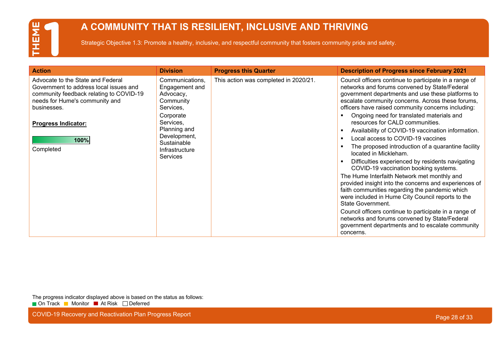### **A COMMUNITY THAT IS RESILIENT, INCLUSIVE AND THRIVING**

Strategic Objective 1.3: Promote a healthy, inclusive, and respectful community that fosters community pride and safety.

| <b>Action</b>                                                                                                                                                           | <b>Division</b>                                                          | <b>Progress this Quarter</b>          | <b>Description of Progress since February 2021</b>                                                                                                                                                                                                                      |
|-------------------------------------------------------------------------------------------------------------------------------------------------------------------------|--------------------------------------------------------------------------|---------------------------------------|-------------------------------------------------------------------------------------------------------------------------------------------------------------------------------------------------------------------------------------------------------------------------|
| Advocate to the State and Federal<br>Government to address local issues and<br>community feedback relating to COVID-19<br>needs for Hume's community and<br>businesses. | Communications,<br>Engagement and<br>Advocacy,<br>Community<br>Services, | This action was completed in 2020/21. | Council officers continue to participate in a range of<br>networks and forums convened by State/Federal<br>government departments and use these platforms to<br>escalate community concerns. Across these forums,<br>officers have raised community concerns including: |
| <b>Progress Indicator:</b><br>100%                                                                                                                                      | Corporate<br>Services,<br>Planning and<br>Development,                   |                                       | Ongoing need for translated materials and<br>resources for CALD communities.<br>Availability of COVID-19 vaccination information.<br>$\blacksquare$<br>Local access to COVID-19 vaccines<br>$\blacksquare$                                                              |
| Completed                                                                                                                                                               | Sustainable<br>Infrastructure<br><b>Services</b>                         |                                       | The proposed introduction of a quarantine facility<br>$\blacksquare$<br>located in Mickleham.                                                                                                                                                                           |
|                                                                                                                                                                         |                                                                          |                                       | Difficulties experienced by residents navigating<br>COVID-19 vaccination booking systems.                                                                                                                                                                               |
|                                                                                                                                                                         |                                                                          |                                       | The Hume Interfaith Network met monthly and<br>provided insight into the concerns and experiences of<br>faith communities regarding the pandemic which<br>were included in Hume City Council reports to the<br>State Government.                                        |
|                                                                                                                                                                         |                                                                          |                                       | Council officers continue to participate in a range of<br>networks and forums convened by State/Federal<br>government departments and to escalate community<br>concerns.                                                                                                |

The progress indicator displayed above is based on the status as follows: ■ On Track ■ Monitor ■ At Risk □ Deferred

COVID-19 Recovery and Reactivation Plan Progress Report **Page 28 of 33** COVID-19 Recovery and Reactivation Plan Progress Report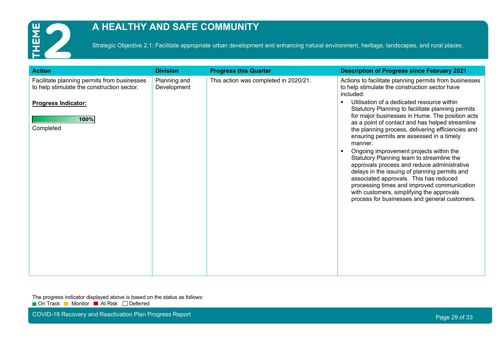

### **A HEALTHY AND SAFE COMMUNITY**

Strategic Objective 2.1: Facilitate appropriate urban development and enhancing natural environment, heritage, landscapes, and rural places.

| <b>Action</b>                                                                                                                                | <b>Division</b>             | <b>Progress this Quarter</b>          | <b>Description of Progress since February 2021</b>                                                                                                                                                                                                                                                                                                                                                                                                                                                                                                                                                                                                                                                                                                                                                                                                             |
|----------------------------------------------------------------------------------------------------------------------------------------------|-----------------------------|---------------------------------------|----------------------------------------------------------------------------------------------------------------------------------------------------------------------------------------------------------------------------------------------------------------------------------------------------------------------------------------------------------------------------------------------------------------------------------------------------------------------------------------------------------------------------------------------------------------------------------------------------------------------------------------------------------------------------------------------------------------------------------------------------------------------------------------------------------------------------------------------------------------|
| Facilitate planning permits from businesses<br>to help stimulate the construction sector.<br><b>Progress Indicator:</b><br>100%<br>Completed | Planning and<br>Development | This action was completed in 2020/21. | Actions to facilitate planning permits from businesses<br>to help stimulate the construction sector have<br>included:<br>Utilisation of a dedicated resource within<br>$\blacksquare$<br>Statutory Planning to facilitate planning permits<br>for major businesses in Hume. The position acts<br>as a point of contact and has helped streamline<br>the planning process, delivering efficiencies and<br>ensuring permits are assessed in a timely<br>manner.<br>Ongoing improvement projects within the<br>$\blacksquare$<br>Statutory Planning team to streamline the<br>approvals process and reduce administrative<br>delays in the issuing of planning permits and<br>associated approvals. This has reduced<br>processing times and improved communication<br>with customers, simplifying the approvals<br>process for businesses and general customers. |
|                                                                                                                                              |                             |                                       |                                                                                                                                                                                                                                                                                                                                                                                                                                                                                                                                                                                                                                                                                                                                                                                                                                                                |
|                                                                                                                                              |                             |                                       |                                                                                                                                                                                                                                                                                                                                                                                                                                                                                                                                                                                                                                                                                                                                                                                                                                                                |

The progress indicator displayed above is based on the status as follows: ■ On Track ■ Monitor ■ At Risk □ Deferred

COVID-19 Recovery and Reactivation Plan Progress Report **Page 29 of 33** and 20 of 33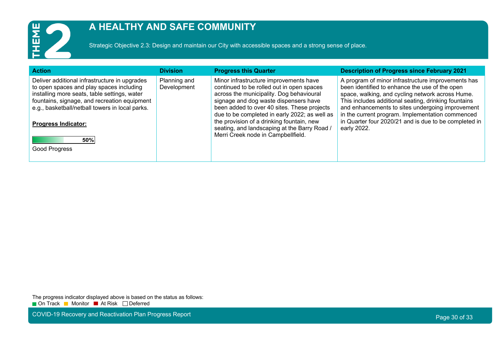

### **A HEALTHY AND SAFE COMMUNITY**

Strategic Objective 2.3: Design and maintain our City with accessible spaces and a strong sense of place.

| <b>Action</b>                                                                                                                                                                                                                                                                                             | <b>Division</b>             | <b>Progress this Quarter</b>                                                                                                                                                                                                                                                                                                                                                                                | <b>Description of Progress since February 2021</b>                                                                                                                                                                                                                                                                                                                                               |
|-----------------------------------------------------------------------------------------------------------------------------------------------------------------------------------------------------------------------------------------------------------------------------------------------------------|-----------------------------|-------------------------------------------------------------------------------------------------------------------------------------------------------------------------------------------------------------------------------------------------------------------------------------------------------------------------------------------------------------------------------------------------------------|--------------------------------------------------------------------------------------------------------------------------------------------------------------------------------------------------------------------------------------------------------------------------------------------------------------------------------------------------------------------------------------------------|
| Deliver additional infrastructure in upgrades<br>to open spaces and play spaces including<br>installing more seats, table settings, water<br>fountains, signage, and recreation equipment<br>e.g., basketball/netball towers in local parks.<br><b>Progress Indicator:</b><br>50%<br><b>Good Progress</b> | Planning and<br>Development | Minor infrastructure improvements have<br>continued to be rolled out in open spaces<br>across the municipality. Dog behavioural<br>signage and dog waste dispensers have<br>been added to over 40 sites. These projects<br>due to be completed in early 2022; as well as<br>the provision of a drinking fountain, new<br>seating, and landscaping at the Barry Road /<br>Merri Creek node in Campbellfield. | A program of minor infrastructure improvements has<br>been identified to enhance the use of the open<br>space, walking, and cycling network across Hume.<br>This includes additional seating, drinking fountains<br>and enhancements to sites undergoing improvement<br>in the current program. Implementation commenced<br>in Quarter four 2020/21 and is due to be completed in<br>early 2022. |
|                                                                                                                                                                                                                                                                                                           |                             |                                                                                                                                                                                                                                                                                                                                                                                                             |                                                                                                                                                                                                                                                                                                                                                                                                  |

The progress indicator displayed above is based on the status as follows: ■ On Track ■ Monitor ■ At Risk □ Deferred

COVID-19 Recovery and Reactivation Plan Progress Report **Page 30 of 33** COVID-19 Recovery and Reactivation Plan Progress Report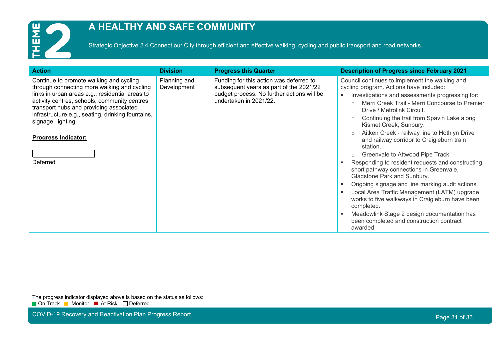

### **A HEALTHY AND SAFE COMMUNITY**

Strategic Objective 2.4 Connect our City through efficient and effective walking, cycling and public transport and road networks.

| <b>Action</b>                                                                                                                                                                                                                                                                                                                                              | <b>Division</b>             | <b>Progress this Quarter</b>                                                                                                                               | <b>Description of Progress since February 2021</b>                                                                                                                                                                                                                                                                                                                                                                                                                                                                                                                                                                                                                                                                                                                                                                                                                                |
|------------------------------------------------------------------------------------------------------------------------------------------------------------------------------------------------------------------------------------------------------------------------------------------------------------------------------------------------------------|-----------------------------|------------------------------------------------------------------------------------------------------------------------------------------------------------|-----------------------------------------------------------------------------------------------------------------------------------------------------------------------------------------------------------------------------------------------------------------------------------------------------------------------------------------------------------------------------------------------------------------------------------------------------------------------------------------------------------------------------------------------------------------------------------------------------------------------------------------------------------------------------------------------------------------------------------------------------------------------------------------------------------------------------------------------------------------------------------|
| Continue to promote walking and cycling<br>through connecting more walking and cycling<br>links in urban areas e.g., residential areas to<br>activity centres, schools, community centres,<br>transport hubs and providing associated<br>infrastructure e.g., seating, drinking fountains,<br>signage, lighting.<br><b>Progress Indicator:</b><br>Deferred | Planning and<br>Development | Funding for this action was deferred to<br>subsequent years as part of the 2021/22<br>budget process. No further actions will be<br>undertaken in 2021/22. | Council continues to implement the walking and<br>cycling program. Actions have included:<br>Investigations and assessments progressing for:<br>Merri Creek Trail - Merri Concourse to Premier<br>Drive / Metrolink Circuit.<br>Continuing the trail from Spavin Lake along<br>$\circ$<br>Kismet Creek, Sunbury.<br>Aitken Creek - railway line to Hothlyn Drive<br>and railway corridor to Craigieburn train<br>station.<br>Greenvale to Attwood Pipe Track.<br>$\circ$<br>Responding to resident requests and constructing<br>short pathway connections in Greenvale,<br>Gladstone Park and Sunbury.<br>Ongoing signage and line marking audit actions.<br>Local Area Traffic Management (LATM) upgrade<br>works to five walkways in Craigieburn have been<br>completed.<br>Meadowlink Stage 2 design documentation has<br>been completed and construction contract<br>awarded. |

The progress indicator displayed above is based on the status as follows: ■ On Track ■ Monitor ■ At Risk □ Deferred

COVID-19 Recovery and Reactivation Plan Progress Report **Page 31 of 33** COVID-19 Recovery and Reactivation Plan Progress Report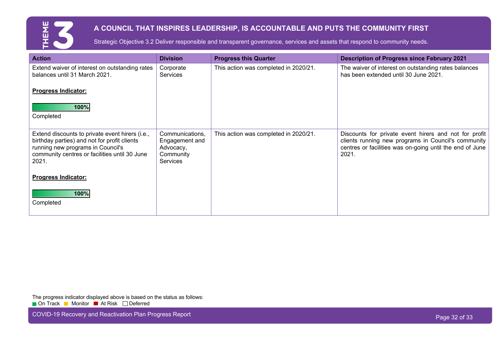

### **A COUNCIL THAT INSPIRES LEADERSHIP, IS ACCOUNTABLE AND PUTS THE COMMUNITY FIRST**

Strategic Objective 3.2 Deliver responsible and transparent governance, services and assets that respond to community needs.

| <b>Action</b>                                                                                                                                                                                  | <b>Division</b>                                                                | <b>Progress this Quarter</b>          | <b>Description of Progress since February 2021</b>                                                                                                                                |
|------------------------------------------------------------------------------------------------------------------------------------------------------------------------------------------------|--------------------------------------------------------------------------------|---------------------------------------|-----------------------------------------------------------------------------------------------------------------------------------------------------------------------------------|
| Extend waiver of interest on outstanding rates<br>balances until 31 March 2021.                                                                                                                | Corporate<br><b>Services</b>                                                   | This action was completed in 2020/21. | The waiver of interest on outstanding rates balances<br>has been extended until 30 June 2021.                                                                                     |
| <b>Progress Indicator:</b>                                                                                                                                                                     |                                                                                |                                       |                                                                                                                                                                                   |
| 100%<br>Completed                                                                                                                                                                              |                                                                                |                                       |                                                                                                                                                                                   |
| Extend discounts to private event hirers (i.e.,<br>birthday parties) and not for profit clients<br>running new programs in Council's<br>community centres or facilities until 30 June<br>2021. | Communications,<br>Engagement and<br>Advocacy,<br>Community<br><b>Services</b> | This action was completed in 2020/21. | Discounts for private event hirers and not for profit<br>clients running new programs in Council's community<br>centres or facilities was on-going until the end of June<br>2021. |
| <b>Progress Indicator:</b>                                                                                                                                                                     |                                                                                |                                       |                                                                                                                                                                                   |
| 100%<br>Completed                                                                                                                                                                              |                                                                                |                                       |                                                                                                                                                                                   |

The progress indicator displayed above is based on the status as follows:

■ On Track ■ Monitor ■ At Risk □ Deferred

COVID-19 Recovery and Reactivation Plan Progress Report **Page 32 of 33** and 20 of 33 and 20 of 33 and 20 of 33 cf 33 of 33